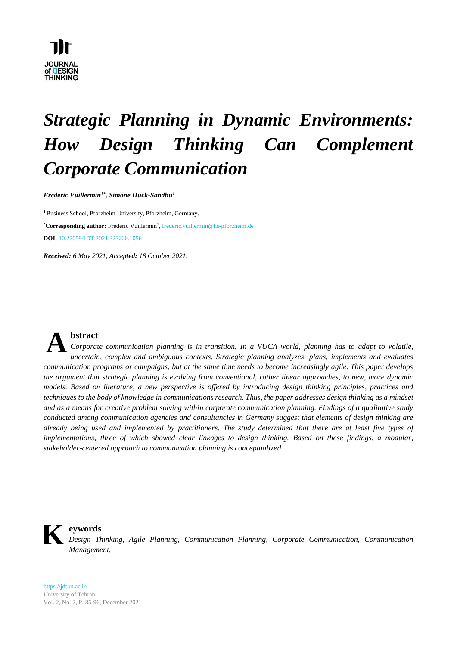

# *Strategic Planning in Dynamic Environments: How Design Thinking Can Complement Corporate Communication*

*Frederic Vuillermin1\* , Simone Huck-Sandhu 1*

**<sup>1</sup>**Business School, Pforzheim University, Pforzheim, Germany. **\*Corresponding author:** Frederic Vuillermin**<sup>1</sup>** , frederic.vuillermin@hs-pforzheim.de **DOI:** 10.22059/JDT.2021.323220.1056

*Received: 6 May 2021, Accepted: 18 October 2021.*



### **bstract**

*Corporate communication planning is in transition. In a VUCA world, planning has to adapt to volatile, uncertain, complex and ambiguous contexts. Strategic planning analyzes, plans, implements and evaluates communication programs or campaigns, but at the same time needs to become increasingly agile. This paper develops the argument that strategic planning is evolving from conventional, rather linear approaches, to new, more dynamic models. Based on literature, a new perspective is offered by introducing design thinking principles, practices and techniques to the body of knowledge in communications research. Thus, the paper addresses design thinking as a mindset and as a means for creative problem solving within corporate communication planning. Findings of a qualitative study conducted among communication agencies and consultancies in Germany suggest that elements of design thinking are already being used and implemented by practitioners. The study determined that there are at least five types of implementations, three of which showed clear linkages to design thinking. Based on these findings, a modular, stakeholder-centered approach to communication planning is conceptualized.*



#### **eywords**

*Design Thinking, Agile Planning, Communication Planning, Corporate Communication, Communication Management.*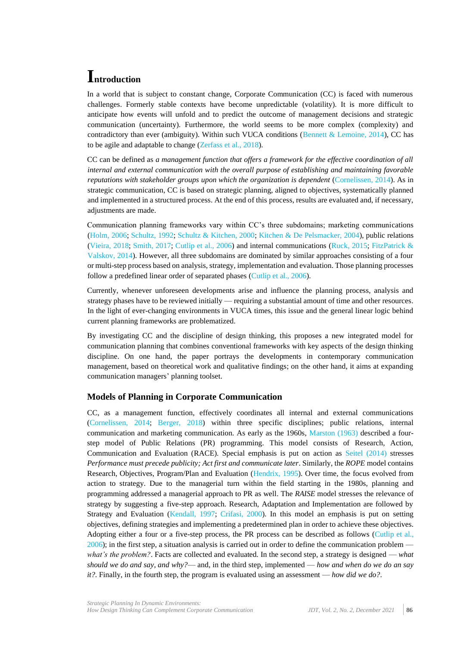### **Introduction**

In a world that is subject to constant change, Corporate Communication (CC) is faced with numerous challenges. Formerly stable contexts have become unpredictable (volatility). It is more difficult to anticipate how events will unfold and to predict the outcome of management decisions and strategic communication (uncertainty). Furthermore, the world seems to be more complex (complexity) and contradictory than ever (ambiguity). Within such VUCA conditions [\(Bennett & Lemoine, 2014\)](#page-8-0), CC has to be agile and adaptable to change [\(Zerfass et al., 2018\)](#page-11-0).

CC can be defined as *a management function that offers a framework for the effective coordination of all internal and external communication with the overall purpose of establishing and maintaining favorable reputations with stakeholder groups upon which the organization is dependent* [\(Cornelissen, 2014\)](#page-9-0). As in strategic communication, CC is based on strategic planning, aligned to objectives, systematically planned and implemented in a structured process. At the end of this process, results are evaluated and, if necessary, adjustments are made.

Communication planning frameworks vary within CC's three subdomains; marketing communications [\(Holm, 2006;](#page-10-0) [Schultz, 1992;](#page-11-1) [Schultz & Kitchen, 2000;](#page-11-2) [Kitchen & De Pelsmacker, 2004\)](#page-10-1), public relations [\(Vieira, 2018;](#page-11-3) [Smith, 2017;](#page-11-4) [Cutlip et al., 2006\)](#page-9-1) and internal communications [\(Ruck, 2015;](#page-10-2) [FitzPatrick &](#page-9-2)  [Valskov, 2014\)](#page-9-2). However, all three subdomains are dominated by similar approaches consisting of a four or multi-step process based on analysis, strategy, implementation and evaluation. Those planning processes follow a predefined linear order of separated phases [\(Cutlip et al., 2006\)](#page-9-1).

Currently, whenever unforeseen developments arise and influence the planning process, analysis and strategy phases have to be reviewed initially — requiring a substantial amount of time and other resources. In the light of ever-changing environments in VUCA times, this issue and the general linear logic behind current planning frameworks are problematized.

By investigating CC and the discipline of design thinking, this proposes a new integrated model for communication planning that combines conventional frameworks with key aspects of the design thinking discipline. On one hand, the paper portrays the developments in contemporary communication management, based on theoretical work and qualitative findings; on the other hand, it aims at expanding communication managers' planning toolset.

### **Models of Planning in Corporate Communication**

CC, as a management function, effectively coordinates all internal and external communications [\(Cornelissen,](#page-9-0) 2014; [Berger,](#page-9-3) 2018) within three specific disciplines; public relations, internal communication and marketing communication. As early as the 1960s, [Marston \(1963\)](#page-10-3) described a fourstep model of Public Relations (PR) programming. This model consists of Research, Action, Communication and Evaluation (RACE). Special emphasis is put on action as [Seitel \(2014\)](#page-11-5) stresses *Performance must precede publicity; Act first and communicate later*. Similarly, the *ROPE* model contains Research, Objectives, Program/Plan and Evaluation [\(Hendrix, 1995\)](#page-9-4). Over time, the focus evolved from action to strategy. Due to the managerial turn within the field starting in the 1980s, planning and programming addressed a managerial approach to PR as well. The *RAISE* model stresses the relevance of strategy by suggesting a five-step approach. Research, Adaptation and Implementation are followed by Strategy and Evaluation [\(Kendall, 1997;](#page-10-4) [Crifasi, 2000\)](#page-9-5). In this model an emphasis is put on setting objectives, defining strategies and implementing a predetermined plan in order to achieve these objectives. Adopting either a four or a five-step process, the PR process can be described as follows [\(Cutlip et al.,](#page-9-1)  [2006\)](#page-9-1); in the first step, a situation analysis is carried out in order to define the communication problem *what's the problem?*. Facts are collected and evaluated. In the second step, a strategy is designed — *what should we do and say, and why?*— and, in the third step, implemented — *how and when do we do an say it?*. Finally, in the fourth step, the program is evaluated using an assessment — *how did we do?*.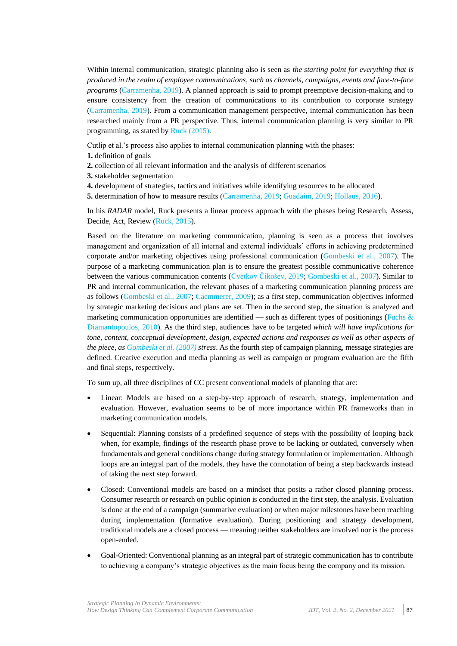Within internal communication, strategic planning also is seen as *the starting point for everything that is produced in the realm of employee communications, such as channels, campaigns, events and face-to-face programs* [\(Carramenha, 2019\)](#page-9-6). A planned approach is said to prompt preemptive decision-making and to ensure consistency from the creation of communications to its contribution to corporate strategy [\(Carramenha, 2019\)](#page-9-6). From a communication management perspective, internal communication has been researched mainly from a PR perspective. Thus, internal communication planning is very similar to PR programming, as stated by Ruck [\(2015\).](#page-10-2)

Cutlip et al.'s process also applies to internal communication planning with the phases:

**1.** definition of goals

- **2.** collection of all relevant information and the analysis of different scenarios
- **3.** stakeholder segmentation
- **4.** development of strategies, tactics and initiatives while identifying resources to be allocated
- **5.** determination of how to measure results [\(Carramenha, 2019;](#page-9-6) [Guadaim, 2019;](#page-9-7) [Hollaus, 2016\)](#page-10-5).

In his *RADAR* model, Ruck presents a linear process approach with the phases being Research, Assess, Decide, Act, Review [\(Ruck, 2015\)](#page-10-2).

Based on the literature on marketing communication, planning is seen as a process that involves management and organization of all internal and external individuals' efforts in achieving predetermined corporate and/or marketing objectives using professional communication [\(Gombeski et al., 2007\)](#page-9-8). The purpose of a marketing communication plan is to ensure the greatest possible communicative coherence between the various communication contents [\(Cvetkov Čikošev, 2019;](#page-9-9) [Gombeski et al., 2007\)](#page-9-8). Similar to PR and internal communication, the relevant phases of a marketing communication planning process are as follows [\(Gombeski et al., 2007;](#page-9-8) [Caemmerer, 2009\)](#page-9-10); as a first step, communication objectives informed by strategic marketing decisions and plans are set. Then in the second step, the situation is analyzed and marketing communication opportunities are identified — such as different types of positionings (Fuchs  $\&$ [Diamantopoulos, 2010\)](#page-9-11). As the third step, audiences have to be targeted *which will have implications for tone, content, conceptual development, design, expected actions and responses as well as other aspects of the piece, as [Gombeski et al. \(2007\)](#page-9-8) stress*. As the fourth step of campaign planning, message strategies are defined. Creative execution and media planning as well as campaign or program evaluation are the fifth and final steps, respectively.

To sum up, all three disciplines of CC present conventional models of planning that are:

- Linear: Models are based on a step-by-step approach of research, strategy, implementation and evaluation. However, evaluation seems to be of more importance within PR frameworks than in marketing communication models.
- Sequential: Planning consists of a predefined sequence of steps with the possibility of looping back when, for example, findings of the research phase prove to be lacking or outdated, conversely when fundamentals and general conditions change during strategy formulation or implementation. Although loops are an integral part of the models, they have the connotation of being a step backwards instead of taking the next step forward.
- Closed: Conventional models are based on a mindset that posits a rather closed planning process. Consumer research or research on public opinion is conducted in the first step, the analysis. Evaluation is done at the end of a campaign (summative evaluation) or when major milestones have been reaching during implementation (formative evaluation). During positioning and strategy development, traditional models are a closed process — meaning neither stakeholders are involved nor is the process open-ended.
- Goal-Oriented: Conventional planning as an integral part of strategic communication has to contribute to achieving a company's strategic objectives as the main focus being the company and its mission.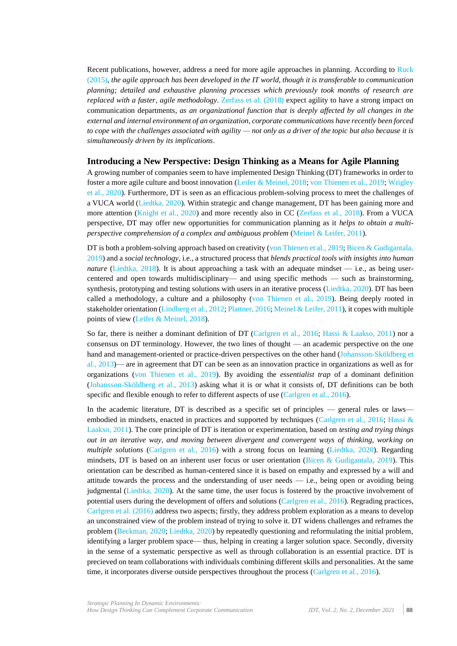Recent publications, however, address a need for more agile approaches in planning. According to [Ruck](#page-10-2)  [\(2015\),](#page-10-2) *the agile approach has been developed in the IT world, though it is transferable to communication planning; detailed and exhaustive planning processes which previously took months of research are replaced with a faster, agile methodology*. [Zerfass et al. \(2018\)](#page-11-0) expect agility to have a strong impact on communication departments, *as an organizational function that is deeply affected by all changes in the external and internal environment of an organization, corporate communications have recently been forced to cope with the challenges associated with agility — not only as a driver of the topic but also because it is simultaneously driven by its implications*.

#### **Introducing a New Perspective: Design Thinking as a Means for Agile Planning**

A growing number of companies seem to have implemented Design Thinking (DT) frameworks in order to foster a more agile culture and boost innovation [\(Leifer & Meinel, 2018;](#page-10-6) [von Thienen et al., 2019;](#page-11-6) [Wrigley](#page-11-7)  [et al., 2020\)](#page-11-7). Furthermore, DT is seen as an efficacious problem-solving process to meet the challenges of a VUCA world [\(Liedtka, 2020\)](#page-10-7). Within strategic and change management, DT has been gaining more and more attention [\(Knight et al., 2020\)](#page-10-8) and more recently also in CC [\(Zerfass et al., 2018\)](#page-11-0). From a VUCA perspective, DT may offer new opportunities for communication planning as it *helps to obtain a multiperspective comprehension of a complex and ambiguous problem* [\(Meinel & Leifer, 2011\)](#page-10-9).

DT is both a problem-solving approach based on creativity [\(von Thienen et al., 2019;](#page-11-6) Bicen & Gudigantala, [2019\)](#page-9-12) and a *social technology*, i.e., a structured process that *blends practical tools with insights into human nature* [\(Liedtka, 2018\)](#page-10-10). It is about approaching a task with an adequate mindset — i.e., as being usercentered and open towards multidisciplinary— and using specific methods — such as brainstorming, synthesis, prototyping and testing solutions with users in an iterative process [\(Liedtka, 2020\)](#page-10-7). DT has been called a methodology, a culture and a philosophy [\(von Thienen et al., 2019\)](#page-11-6). Being deeply rooted in stakeholder orientation [\(Lindberg et al., 2012;](#page-10-11) [Plattner, 2016;](#page-10-12) [Meinel & Leifer, 2011\)](#page-10-9), it copes with multiple points of view [\(Leifer & Meinel, 2018\)](#page-10-6).

So far, there is neither a dominant definition of DT [\(Carlgren et al., 2016;](#page-9-13) [Hassi & Laakso, 2011\)](#page-9-14) nor a consensus on DT terminology. However, the two lines of thought — an academic perspective on the one hand and management-oriented or practice-driven perspectives on the other hand [\(Johansson-Sköldberg et](#page-10-13)  [al., 2013\)](#page-10-13)— are in agreement that DT can be seen as an innovation practice in organizations as well as for organizations [\(von Thienen et al., 2019\)](#page-11-6). By avoiding the *essentialist trap* of a dominant definition [\(Johansson-Sköldberg et al., 2013\)](#page-10-13) asking what it is or what it consists of, DT definitions can be both specific and flexible enough to refer to different aspects of use [\(Carlgren et al., 2016\)](#page-9-13).

In the academic literature, DT is described as a specific set of principles — general rules or laws— embodied in mindsets, enacted in practices and supported by techniques [\(Carlgren et al., 2016;](#page-9-13) Hassi & [Laakso, 2011\)](#page-9-14). The core principle of DT is iteration or experimentation, based on *testing and trying things out in an iterative way, and moving between divergent and convergent ways of thinking, working on multiple solutions* [\(Carlgren et al., 2016\)](#page-9-13) with a strong focus on learning [\(Liedtka, 2020\)](#page-10-7). Regarding mindsets, DT is based on an inherent user focus or user orientation [\(Bicen & Gudigantala, 2019\)](#page-9-12). This orientation can be described as human-centered since it is based on empathy and expressed by a will and attitude towards the process and the understanding of user needs — i.e., being open or avoiding being judgmental [\(Liedtka, 2020\)](#page-10-7). At the same time, the user focus is fostered by the proactive involvement of potential users during the development of offers and solutions [\(Carlgren et al., 2016\)](#page-9-13). Regrading practices, [Carlgren et al. \(2016\)](#page-9-13) address two aspects; firstly, they address problem exploration as a means to develop an unconstrained view of the problem instead of trying to solve it. DT widens challenges and reframes the problem [\(Beckman, 2020;](#page-8-1) [Liedtka, 2020\)](#page-10-7) by repeatedly questioning and reformulating the initial problem, identifying a larger problem space— thus, helping in creating a larger solution space. Secondly, diversity in the sense of a systematic perspective as well as through collaboration is an essential practice. DT is precieved on team collaborations with individuals combining different skills and personalities. At the same time, it incorporates diverse outside perspectives throughout the process [\(Carlgren et al., 2016\)](#page-9-13).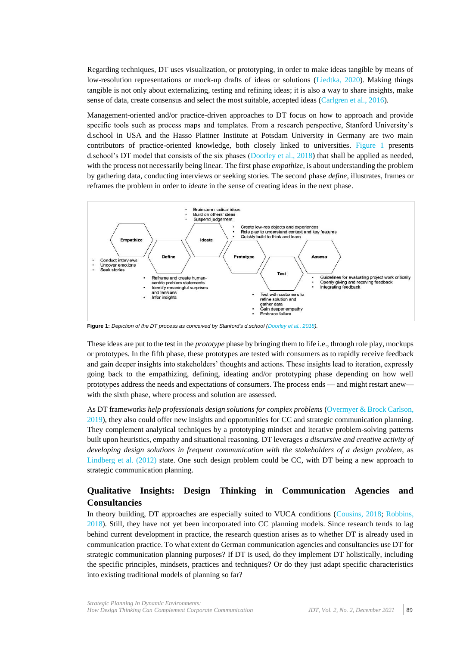Regarding techniques, DT uses visualization, or prototyping, in order to make ideas tangible by means of low-resolution representations or mock-up drafts of ideas or solutions [\(Liedtka, 2020\)](#page-10-7). Making things tangible is not only about externalizing, testing and refining ideas; it is also a way to share insights, make sense of data, create consensus and select the most suitable, accepted ideas [\(Carlgren et al., 2016\)](#page-9-13).

Management-oriented and/or practice-driven approaches to DT focus on how to approach and provide specific tools such as process maps and templates. From a research perspective, Stanford University's d.school in USA and the Hasso Plattner Institute at Potsdam University in Germany are two main contributors of practice-oriented knowledge, both closely linked to universities. [Figure](#page-4-0) 1 presents d.school's DT model that consists of the six phases [\(Doorley et al., 2018\)](#page-9-15) that shall be applied as needed, with the process not necessarily being linear. The first phase *empathize*, is about understanding the problem by gathering data, conducting interviews or seeking stories. The second phase *define*, illustrates, frames or reframes the problem in order to *ideate* in the sense of creating ideas in the next phase.



<span id="page-4-0"></span>**Figure 1:** *Depiction of the DT process as conceived by Stanford's d.school [\(Doorley et al., 2018\)](#page-9-15).*

These ideas are put to the test in the *prototype* phase by bringing them to life i.e., through role play, mockups or prototypes. In the fifth phase, these prototypes are tested with consumers as to rapidly receive feedback and gain deeper insights into stakeholders' thoughts and actions. These insights lead to iteration, expressly going back to the empathizing, defining, ideating and/or prototyping phase depending on how well prototypes address the needs and expectations of consumers. The process ends — and might restart anew with the sixth phase, where process and solution are assessed.

As DT frameworks *help professionals design solutions for complex problems* (Overmyer & [Brock Carlson,](#page-10-14)  [2019\)](#page-10-14), they also could offer new insights and opportunities for CC and strategic communication planning. They complement analytical techniques by a prototyping mindset and iterative problem-solving patterns built upon heuristics, empathy and situational reasoning. DT leverages *a discursive and creative activity of developing design solutions in frequent communication with the stakeholders of a design problem*, as [Lindberg et al. \(2012\)](#page-10-11) state. One such design problem could be CC, with DT being a new approach to strategic communication planning.

### **Qualitative Insights: Design Thinking in Communication Agencies and Consultancies**

In theory building, DT approaches are especially suited to VUCA conditions [\(Cousins, 2018;](#page-9-16) [Robbins,](#page-10-15)  [2018\)](#page-10-15). Still, they have not yet been incorporated into CC planning models. Since research tends to lag behind current development in practice, the research question arises as to whether DT is already used in communication practice. To what extent do German communication agencies and consultancies use DT for strategic communication planning purposes? If DT is used, do they implement DT holistically, including the specific principles, mindsets, practices and techniques? Or do they just adapt specific characteristics into existing traditional models of planning so far?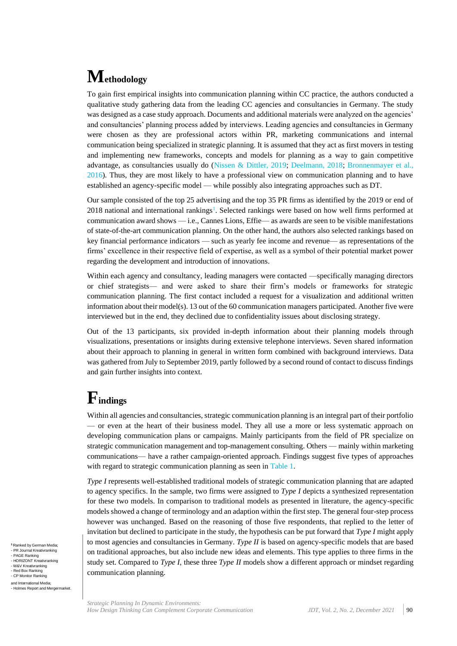## **Methodology**

To gain first empirical insights into communication planning within CC practice, the authors conducted a qualitative study gathering data from the leading CC agencies and consultancies in Germany. The study was designed as a case study approach. Documents and additional materials were analyzed on the agencies' and consultancies' planning process added by interviews. Leading agencies and consultancies in Germany were chosen as they are professional actors within PR, marketing communications and internal communication being specialized in strategic planning. It is assumed that they act as first movers in testing and implementing new frameworks, concepts and models for planning as a way to gain competitive advantage, as consultancies usually do (Nissen & [Dittler, 2019;](#page-10-16) [Deelmann, 2018;](#page-9-17) [Bronnenmayer et al.,](#page-9-18)  [2016\)](#page-9-18). Thus, they are most likely to have a professional view on communication planning and to have established an agency-specific model — while possibly also integrating approaches such as DT.

Our sample consisted of the top 25 advertising and the top 35 PR firms as identified by the 2019 or end of 2018 national and international rankings<sup>1</sup>[.](#page-5-0) Selected rankings were based on how well firms performed at communication award shows — i.e., Cannes Lions, Effie— as awards are seen to be visible manifestations of state-of-the-art communication planning. On the other hand, the authors also selected rankings based on key financial performance indicators — such as yearly fee income and revenue— as representations of the firms' excellence in their respective field of expertise, as well as a symbol of their potential market power regarding the development and introduction of innovations.

Within each agency and consultancy, leading managers were contacted —specifically managing directors or chief strategists— and were asked to share their firm's models or frameworks for strategic communication planning. The first contact included a request for a visualization and additional written information about their model(s). 13 out of the 60 communication managers participated. Another five were interviewed but in the end, they declined due to confidentiality issues about disclosing strategy.

Out of the 13 participants, six provided in-depth information about their planning models through visualizations, presentations or insights during extensive telephone interviews. Seven shared information about their approach to planning in general in written form combined with background interviews. Data was gathered from July to September 2019, partly followed by a second round of contact to discuss findings and gain further insights into context.

## **Findings**

Within all agencies and consultancies, strategic communication planning is an integral part of their portfolio — or even at the heart of their business model. They all use a more or less systematic approach on developing communication plans or campaigns. Mainly participants from the field of PR specialize on strategic communication management and top-management consulting. Others — mainly within marketing communications— have a rather campaign-oriented approach. Findings suggest five types of approaches with regard to strategic communication planning as seen in [Table 1.](#page-6-0)

<span id="page-5-0"></span>*Type I* represents well-established traditional models of strategic communication planning that are adapted to agency specifics. In the sample, two firms were assigned to *Type I* depicts a synthesized representation for these two models. In comparison to traditional models as presented in literature, the agency-specific models showed a change of terminology and an adaption within the first step. The general four-step process however was unchanged. Based on the reasoning of those five respondents, that replied to the letter of invitation but declined to participate in the study, the hypothesis can be put forward that *Type I* might apply to most agencies and consultancies in Germany. *Type II* is based on agency-specific models that are based on traditional approaches, but also include new ideas and elements. This type applies to three firms in the study set. Compared to *Type I*, these three *Type II* models show a different approach or mindset regarding communication planning.

**<sup>1</sup>** Ranked by German Media; - PR Journal Kreativranking - PAGE Ranking - HORIZONT Kreativranking - W&V Kreativranking - We weathlanking<br>Red Box Ranking - CP Monitor Ranking and International Media; - Holmes Report and Mergermarket.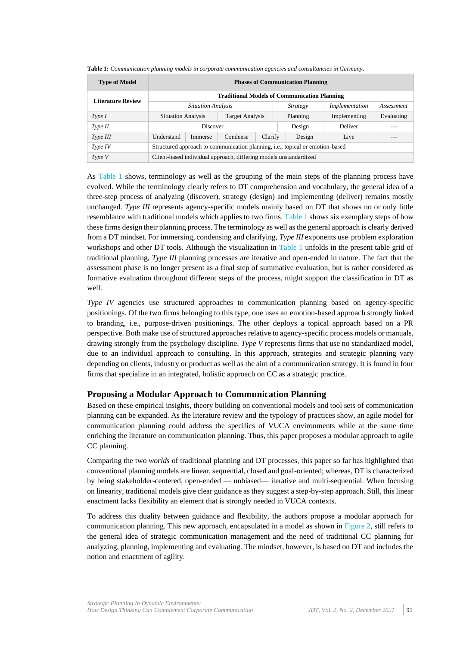| <b>Type of Model</b>     | <b>Phases of Communication Planning</b>                                       |                        |          |         |                 |                |            |         |
|--------------------------|-------------------------------------------------------------------------------|------------------------|----------|---------|-----------------|----------------|------------|---------|
| <b>Literature Review</b> | <b>Traditional Models of Communication Planning</b>                           |                        |          |         |                 |                |            |         |
|                          | <b>Situation Analysis</b>                                                     |                        |          |         | <i>Strategy</i> | Implementation | Assessment |         |
| Type I                   | <b>Situation Analysis</b>                                                     | <b>Target Analysis</b> | Planning |         |                 | Implementing   | Evaluating |         |
| Type II                  | Discover                                                                      |                        |          |         |                 | Design         | Deliver    | $- - -$ |
| Type III                 | Understand                                                                    | Immerse                | Condense | Clarify |                 | Design         | Live       |         |
| Type IV                  | Structured approach to communication planning, i.e., topical or emotion-based |                        |          |         |                 |                |            |         |
| Type V                   | Client-based individual approach, differing models unstandardized             |                        |          |         |                 |                |            |         |

<span id="page-6-0"></span>**Table 1:** *Communication planning models in corporate communication agencies and consultancies in Germany.*

As [Table 1](#page-6-0) shows, terminology as well as the grouping of the main steps of the planning process have evolved. While the terminology clearly refers to DT comprehension and vocabulary, the general idea of a three-step process of analyzing (discover), strategy (design) and implementing (deliver) remains mostly unchanged. *Type III* represents agency-specific models mainly based on DT that shows no or only little resemblance with traditional models which applies to two firms[. Table 1](#page-6-0) shows six exemplary steps of how these firms design their planning process. The terminology as well as the general approach is clearly derived from a DT mindset. For immersing, condensing and clarifying, *Type III* exponents use problem exploration workshops and other DT tools. Although the visualization in [Table 1](#page-6-0) unfolds in the present table grid of traditional planning, *Type III* planning processes are iterative and open-ended in nature. The fact that the assessment phase is no longer present as a final step of summative evaluation, but is rather considered as formative evaluation throughout different steps of the process, might support the classification in DT as well.

*Type IV* agencies use structured approaches to communication planning based on agency-specific positionings. Of the two firms belonging to this type, one uses an emotion-based approach strongly linked to branding, i.e., purpose-driven positionings. The other deploys a topical approach based on a PR perspective. Both make use of structured approaches relative to agency-specific process models or manuals, drawing strongly from the psychology discipline. *Type V* represents firms that use no standardized model, due to an individual approach to consulting. In this approach, strategies and strategic planning vary depending on clients, industry or product as well as the aim of a communication strategy. It is found in four firms that specialize in an integrated, holistic approach on CC as a strategic practice.

### **Proposing a Modular Approach to Communication Planning**

Based on these empirical insights, theory building on conventional models and tool sets of communication planning can be expanded. As the literature review and the typology of practices show, an agile model for communication planning could address the specifics of VUCA environments while at the same time enriching the literature on communication planning. Thus, this paper proposes a modular approach to agile CC planning.

Comparing the two *worlds* of traditional planning and DT processes, this paper so far has highlighted that conventional planning models are linear, sequential, closed and goal-oriented; whereas, DT is characterized by being stakeholder-centered, open-ended — unbiased— iterative and multi-sequential. When focusing on linearity, traditional models give clear guidance as they suggest a step-by-step approach. Still, this linear enactment lacks flexibility an element that is strongly needed in VUCA contexts.

To address this duality between guidance and flexibility, the authors propose a modular approach for communication planning. This new approach, encapsulated in a model as shown in [Figure 2,](#page-7-0) still refers to the general idea of strategic communication management and the need of traditional CC planning for analyzing, planning, implementing and evaluating. The mindset, however, is based on DT and includes the notion and enactment of agility.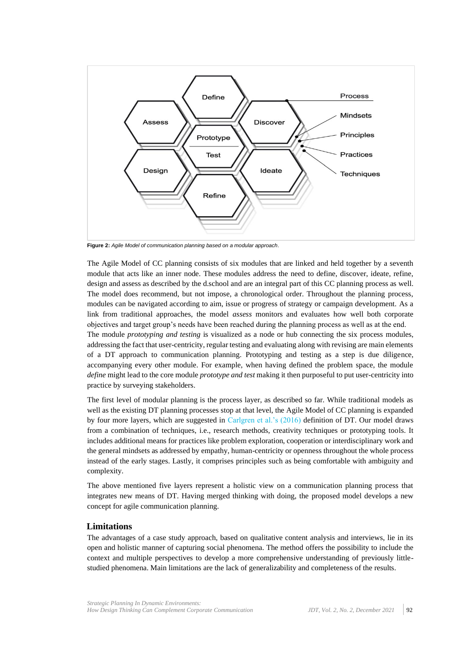

<span id="page-7-0"></span>**Figure 2:** *Agile Model of communication planning based on a modular approach.*

The Agile Model of CC planning consists of six modules that are linked and held together by a seventh module that acts like an inner node. These modules address the need to define, discover, ideate, refine, design and assess as described by the d.school and are an integral part of this CC planning process as well. The model does recommend, but not impose, a chronological order. Throughout the planning process, modules can be navigated according to aim, issue or progress of strategy or campaign development. As a link from traditional approaches, the model *assess* monitors and evaluates how well both corporate objectives and target group's needs have been reached during the planning process as well as at the end.

The module *prototyping and testing* is visualized as a node or hub connecting the six process modules, addressing the fact that user-centricity, regular testing and evaluating along with revising are main elements of a DT approach to communication planning. Prototyping and testing as a step is due diligence, accompanying every other module. For example, when having defined the problem space, the module *define* might lead to the core module *prototype and test* making it then purposeful to put user-centricity into practice by surveying stakeholders.

The first level of modular planning is the process layer, as described so far. While traditional models as well as the existing DT planning processes stop at that level, the Agile Model of CC planning is expanded by four more layers, which are suggested in [Carlgren et al.'s \(2016\)](#page-9-13) definition of DT. Our model draws from a combination of techniques, i.e., research methods, creativity techniques or prototyping tools. It includes additional means for practices like problem exploration, cooperation or interdisciplinary work and the general mindsets as addressed by empathy, human-centricity or openness throughout the whole process instead of the early stages. Lastly, it comprises principles such as being comfortable with ambiguity and complexity.

The above mentioned five layers represent a holistic view on a communication planning process that integrates new means of DT. Having merged thinking with doing, the proposed model develops a new concept for agile communication planning.

### **Limitations**

The advantages of a case study approach, based on qualitative content analysis and interviews, lie in its open and holistic manner of capturing social phenomena. The method offers the possibility to include the context and multiple perspectives to develop a more comprehensive understanding of previously littlestudied phenomena. Main limitations are the lack of generalizability and completeness of the results.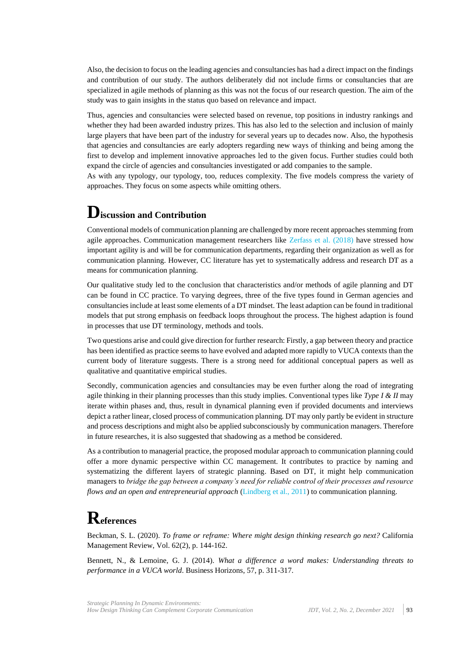Also, the decision to focus on the leading agencies and consultancies has had a direct impact on the findings and contribution of our study. The authors deliberately did not include firms or consultancies that are specialized in agile methods of planning as this was not the focus of our research question. The aim of the study was to gain insights in the status quo based on relevance and impact.

Thus, agencies and consultancies were selected based on revenue, top positions in industry rankings and whether they had been awarded industry prizes. This has also led to the selection and inclusion of mainly large players that have been part of the industry for several years up to decades now. Also, the hypothesis that agencies and consultancies are early adopters regarding new ways of thinking and being among the first to develop and implement innovative approaches led to the given focus. Further studies could both expand the circle of agencies and consultancies investigated or add companies to the sample.

As with any typology, our typology, too, reduces complexity. The five models compress the variety of approaches. They focus on some aspects while omitting others.

### **Discussion and Contribution**

Conventional models of communication planning are challenged by more recent approaches stemming from agile approaches. Communication management researchers like [Zerfass et al. \(2018\)](#page-11-0) have stressed how important agility is and will be for communication departments, regarding their organization as well as for communication planning. However, CC literature has yet to systematically address and research DT as a means for communication planning.

Our qualitative study led to the conclusion that characteristics and/or methods of agile planning and DT can be found in CC practice. To varying degrees, three of the five types found in German agencies and consultancies include at least some elements of a DT mindset. The least adaption can be found in traditional models that put strong emphasis on feedback loops throughout the process. The highest adaption is found in processes that use DT terminology, methods and tools.

Two questions arise and could give direction for further research: Firstly, a gap between theory and practice has been identified as practice seems to have evolved and adapted more rapidly to VUCA contexts than the current body of literature suggests. There is a strong need for additional conceptual papers as well as qualitative and quantitative empirical studies.

Secondly, communication agencies and consultancies may be even further along the road of integrating agile thinking in their planning processes than this study implies. Conventional types like *Type I & II* may iterate within phases and, thus, result in dynamical planning even if provided documents and interviews depict a rather linear, closed process of communication planning. DT may only partly be evident in structure and process descriptions and might also be applied subconsciously by communication managers. Therefore in future researches, it is also suggested that shadowing as a method be considered.

As a contribution to managerial practice, the proposed modular approach to communication planning could offer a more dynamic perspective within CC management. It contributes to practice by naming and systematizing the different layers of strategic planning. Based on DT, it might help communication managers to *bridge the gap between a company's need for reliable control of their processes and resource flows and an open and entrepreneurial approach* [\(Lindberg et al., 2011\)](#page-10-17) to communication planning.

### **References**

<span id="page-8-1"></span>Beckman, S. L. (2020). *To frame or reframe: Where might design thinking research go next?* California Management Review, Vol. 62(2), p. 144-162.

<span id="page-8-0"></span>Bennett, N., & Lemoine, G. J. (2014). *What a difference a word makes: Understanding threats to performance in a VUCA world*. Business Horizons, 57, p. 311-317.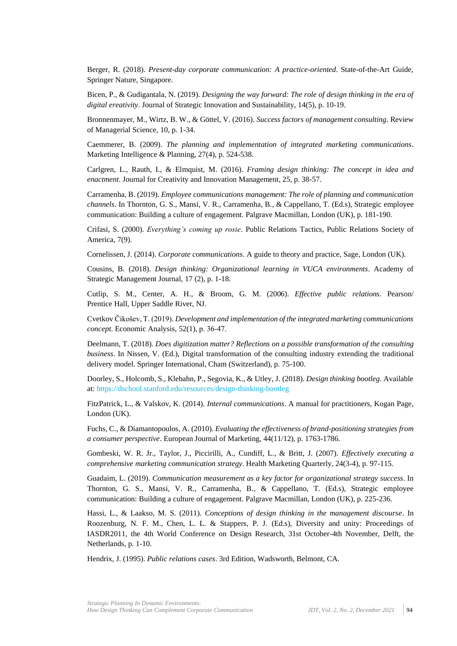<span id="page-9-3"></span>Berger, R. (2018). *Present-day corporate communication: A practice-oriented*. State-of-the-Art Guide, Springer Nature, Singapore.

<span id="page-9-12"></span>Bicen, P., & Gudigantala, N. (2019). *Designing the way forward: The role of design thinking in the era of digital ereativity*. Journal of Strategic Innovation and Sustainability, 14(5), p. 10-19.

<span id="page-9-18"></span>Bronnenmayer, M., Wirtz, B. W., & Göttel, V. (2016). *Success factors of management consulting*. Review of Managerial Science, 10, p. 1-34.

<span id="page-9-10"></span>Caemmerer, B. (2009). *The planning and implementation of integrated marketing communications*. Marketing Intelligence & Planning, 27(4), p. 524-538.

<span id="page-9-13"></span>Carlgren, L., Rauth, I., & Elmquist, M. (2016). *Framing design thinking: The concept in idea and enactment*. Journal for Creativity and Innovation Management, 25, p. 38-57.

<span id="page-9-6"></span>Carramenha, B. (2019). *Employee communications management: The role of planning and communication channels*. In Thornton, G. S., Mansi, V. R., Carramenha, B., & Cappellano, T. (Ed.s), Strategic employee communication: Building a culture of engagement. Palgrave Macmillan, London (UK), p. 181-190.

<span id="page-9-5"></span>Crifasi, S. (2000). *Everything's coming up rosie*. Public Relations Tactics, Public Relations Society of America, 7(9).

<span id="page-9-0"></span>Cornelissen, J. (2014). *Corporate communications*. A guide to theory and practice, Sage, London (UK).

<span id="page-9-16"></span>Cousins, B. (2018). *Design thinking: Organizational learning in VUCA environments*. Academy of Strategic Management Journal, 17 (2), p. 1-18.

<span id="page-9-1"></span>Cutlip, S. M., Center, A. H., & Broom, G. M. (2006). *Effective public relations*. Pearson/ Prentice Hall, Upper Saddle River, NJ.

<span id="page-9-9"></span>Cvetkov Čikošev, T. (2019). *Development and implementation of the integrated marketing communications concept*. Economic Analysis, 52(1), p. 36‐47.

<span id="page-9-17"></span>Deelmann, T. (2018). *Does digitization matter? Reflections on a possible transformation of the consulting business*. In Nissen, V. (Ed.), Digital transformation of the consulting industry extending the traditional delivery model. Springer International, Cham (Switzerland), p. 75-100.

<span id="page-9-15"></span>Doorley, S., Holcomb, S., Klebahn, P., Segovia, K., & Utley, J. (2018). *Design thinking bootleg*. Available at: https://dschool.stanford.edu/resources/design-thinking-bootleg

<span id="page-9-2"></span>FitzPatrick, L., & Valskov, K. (2014). *Internal communications*. A manual for practitioners, Kogan Page, London (UK).

<span id="page-9-11"></span>Fuchs, C., & Diamantopoulos, A. (2010). *Evaluating the effectiveness of brand-positioning strategies from a consumer perspective*. European Journal of Marketing, 44(11/12), p. 1763-1786.

<span id="page-9-8"></span>Gombeski, W. R. Jr., Taylor, J., Piccirilli, A., Cundiff, L., & Britt, J. (2007). *Effectively executing a comprehensive marketing communication strategy*. Health Marketing Quarterly, 24(3-4), p. 97-115.

<span id="page-9-7"></span>Guadaim, L. (2019). *Communication measurement as a key factor for organizational strategy success*. In Thornton, G. S., Mansi, V. R., Carramenha, B., & Cappellano, T. (Ed.s), Strategic employee communication: Building a culture of engagement. Palgrave Macmillan, London (UK), p. 225-236.

<span id="page-9-14"></span>Hassi, L., & Laakso, M. S. (2011). *Conceptions of design thinking in the management discourse*. In Roozenburg, N. F. M., Chen, L. L. & Stappers, P. J. (Ed.s), Diversity and unity: Proceedings of IASDR2011, the 4th World Conference on Design Research, 31st October-4th November, Delft, the Netherlands, p. 1-10.

<span id="page-9-4"></span>Hendrix, J. (1995). *Public relations cases*. 3rd Edition, Wadsworth, Belmont, CA.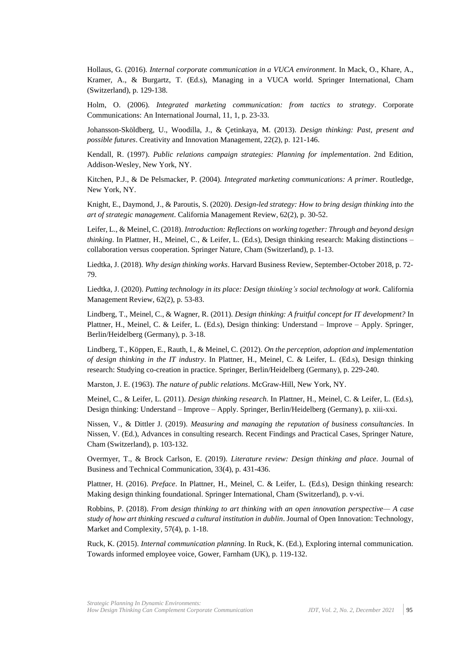<span id="page-10-5"></span>Hollaus, G. (2016). *Internal corporate communication in a VUCA environment*. In Mack, O., Khare, A., Kramer, A., & Burgartz, T. (Ed.s), Managing in a VUCA world. Springer International, Cham (Switzerland), p. 129-138.

<span id="page-10-0"></span>Holm, O. (2006). *Integrated marketing communication: from tactics to strategy*. Corporate Communications: An International Journal, 11, 1, p. 23-33.

<span id="page-10-13"></span>Johansson-Sköldberg, U., Woodilla, J., & Çetinkaya, M. (2013). *Design thinking: Past, present and possible futures*. Creativity and Innovation Management, 22(2), p. 121-146.

<span id="page-10-4"></span>Kendall, R. (1997). *Public relations campaign strategies: Planning for implementation*. 2nd Edition, Addison-Wesley, New York, NY.

<span id="page-10-1"></span>Kitchen, P.J., & De Pelsmacker, P. (2004). *Integrated marketing communications: A primer*. Routledge, New York, NY.

<span id="page-10-8"></span>Knight, E., Daymond, J., & Paroutis, S. (2020). *Design-led strategy: How to bring design thinking into the art of strategic management*. California Management Review, 62(2), p. 30-52.

<span id="page-10-6"></span>Leifer, L., & Meinel, C. (2018). *Introduction: Reflections on working together: Through and beyond design thinking*. In Plattner, H., Meinel, C., & Leifer, L. (Ed.s), Design thinking research: Making distinctions – collaboration versus cooperation. Springer Nature, Cham (Switzerland), p. 1-13.

<span id="page-10-10"></span>Liedtka, J. (2018). *Why design thinking works*. Harvard Business Review, September-October 2018, p. 72- 79.

<span id="page-10-7"></span>Liedtka, J. (2020). *Putting technology in its place: Design thinking's social technology at work*. California Management Review, 62(2), p. 53-83.

<span id="page-10-17"></span>Lindberg, T., Meinel, C., & Wagner, R. (2011). *Design thinking: A fruitful concept for IT development?* In Plattner, H., Meinel, C. & Leifer, L. (Ed.s), Design thinking: Understand – Improve – Apply. Springer, Berlin/Heidelberg (Germany), p. 3-18.

<span id="page-10-11"></span>Lindberg, T., Köppen, E., Rauth, I., & Meinel, C. (2012). *On the perception, adoption and implementation of design thinking in the IT industry*. In Plattner, H., Meinel, C. & Leifer, L. (Ed.s), Design thinking research: Studying co-creation in practice. Springer, Berlin/Heidelberg (Germany), p. 229-240.

<span id="page-10-3"></span>Marston, J. E. (1963). *The nature of public relations*. McGraw-Hill, New York, NY.

<span id="page-10-9"></span>Meinel, C., & Leifer, L. (2011). *Design thinking research.* In Plattner, H., Meinel, C. & Leifer, L. (Ed.s), Design thinking: Understand – Improve – Apply. Springer, Berlin/Heidelberg (Germany), p. xiii-xxi.

<span id="page-10-16"></span>Nissen, V., & Dittler J. (2019). *Measuring and managing the reputation of business consultancies*. In Nissen, V. (Ed.), Advances in consulting research. Recent Findings and Practical Cases, Springer Nature, Cham (Switzerland), p. 103-132.

<span id="page-10-14"></span>Overmyer, T., & Brock Carlson, E. (2019). *Literature review: Design thinking and place*. Journal of Business and Technical Communication, 33(4), p. 431-436.

<span id="page-10-12"></span>Plattner, H. (2016). *Preface*. In Plattner, H., Meinel, C. & Leifer, L. (Ed.s), Design thinking research: Making design thinking foundational. Springer International, Cham (Switzerland), p. v-vi.

<span id="page-10-15"></span>Robbins, P. (2018). *From design thinking to art thinking with an open innovation perspective— A case study of how art thinking rescued a cultural institution in dublin*. Journal of Open Innovation: Technology, Market and Complexity, 57(4), p. 1-18.

<span id="page-10-2"></span>Ruck, K. (2015). *Internal communication planning*. In Ruck, K. (Ed.), Exploring internal communication. Towards informed employee voice, Gower, Farnham (UK), p. 119-132.